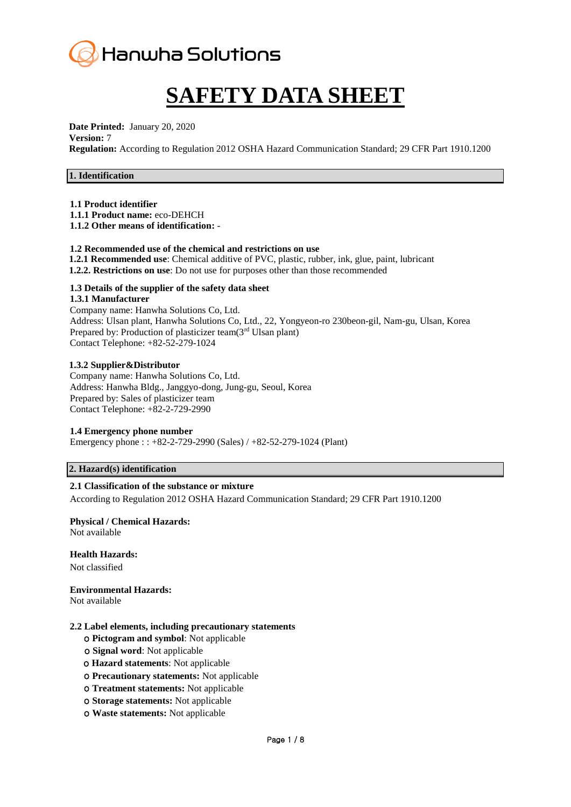

# **SAFETY DATA SHEET**

**Date Printed:** January 20, 2020 **Version:** 7

**Regulation:** According to Regulation 2012 OSHA Hazard Communication Standard; 29 CFR Part 1910.1200

# **1. Identification**

**1.1 Product identifier**

**1.1.1 Product name:** eco-DEHCH

**1.1.2 Other means of identification:** -

# **1.2 Recommended use of the chemical and restrictions on use**

- **1.2.1 Recommended use**: Chemical additive of PVC, plastic, rubber, ink, glue, paint, lubricant
- **1.2.2. Restrictions on use**: Do not use for purposes other than those recommended

# **1.3 Details of the supplier of the safety data sheet**

# **1.3.1 Manufacturer**

Company name: Hanwha Solutions Co, Ltd. Address: Ulsan plant, Hanwha Solutions Co, Ltd., 22, Yongyeon-ro 230beon-gil, Nam-gu, Ulsan, Korea Prepared by: Production of plasticizer team(3<sup>rd</sup> Ulsan plant) Contact Telephone: +82-52-279-1024

# **1.3.2 Supplier&Distributor**

Company name: Hanwha Solutions Co, Ltd. Address: Hanwha Bldg., Janggyo-dong, Jung-gu, Seoul, Korea Prepared by: Sales of plasticizer team Contact Telephone: +82-2-729-2990

# **1.4 Emergency phone number**

Emergency phone : : +82-2-729-2990 (Sales) / +82-52-279-1024 (Plant)

# **2. Hazard(s) identification**

# **2.1 Classification of the substance or mixture**

According to Regulation 2012 OSHA Hazard Communication Standard; 29 CFR Part 1910.1200

# **Physical / Chemical Hazards:**

Not available

**Health Hazards:**

Not classified

**Environmental Hazards:** 

Not available

#### **2.2 Label elements, including precautionary statements**

- ο **Pictogram and symbol**: Not applicable
- ο **Signal word**: Not applicable
- ο **Hazard statements**: Not applicable
- ο **Precautionary statements:** Not applicable
- ο **Treatment statements:** Not applicable
- ο **Storage statements:** Not applicable
- ο **Waste statements:** Not applicable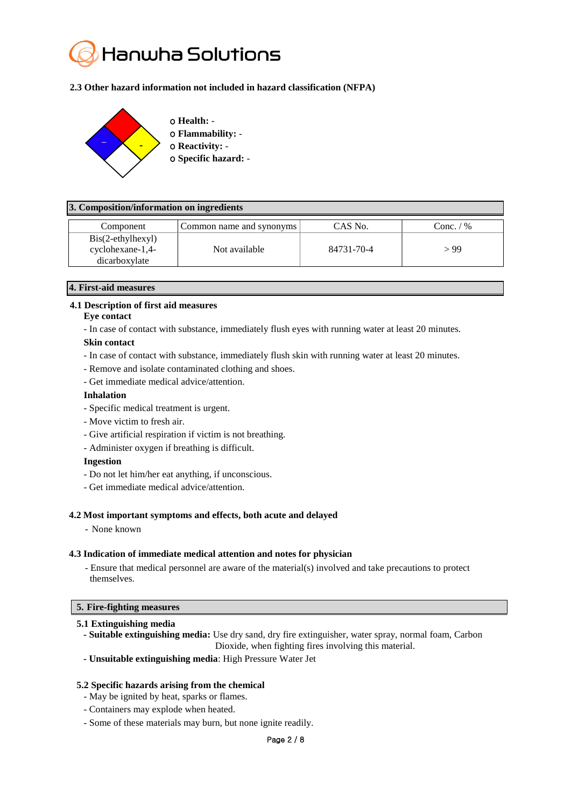

# **2.3 Other hazard information not included in hazard classification (NFPA)**



# **3. Composition/information on ingredients**

| Component                                                                 | Common name and synonyms | CAS No.    | Conc. $/$ % |
|---------------------------------------------------------------------------|--------------------------|------------|-------------|
| $\text{Bis}(2-\text{ethylhexyl})$<br>$c$ yclohexane-1,4-<br>dicarboxylate | Not available            | 84731-70-4 | > 99        |

# **4. First-aid measures**

# **4.1 Description of first aid measures**

#### **Eye contact**

- In case of contact with substance, immediately flush eyes with running water at least 20 minutes.

# **Skin contact**

- In case of contact with substance, immediately flush skin with running water at least 20 minutes.
- Remove and isolate contaminated clothing and shoes.
- Get immediate medical advice/attention.

# **Inhalation**

- Specific medical treatment is urgent.
- Move victim to fresh air.
- Give artificial respiration if victim is not breathing.
- Administer oxygen if breathing is difficult.

#### **Ingestion**

- Do not let him/her eat anything, if unconscious.
- Get immediate medical advice/attention.

#### **4.2 Most important symptoms and effects, both acute and delayed**

- None known

#### **4.3 Indication of immediate medical attention and notes for physician**

- Ensure that medical personnel are aware of the material(s) involved and take precautions to protect themselves.

# **5. Fire-fighting measures**

#### **5.1 Extinguishing media**

- **- Suitable extinguishing media:** Use dry sand, dry fire extinguisher, water spray, normal foam, Carbon Dioxide, when fighting fires involving this material.
- **- Unsuitable extinguishing media**: High Pressure Water Jet

# **5.2 Specific hazards arising from the chemical**

- May be ignited by heat, sparks or flames.
- Containers may explode when heated.
- Some of these materials may burn, but none ignite readily.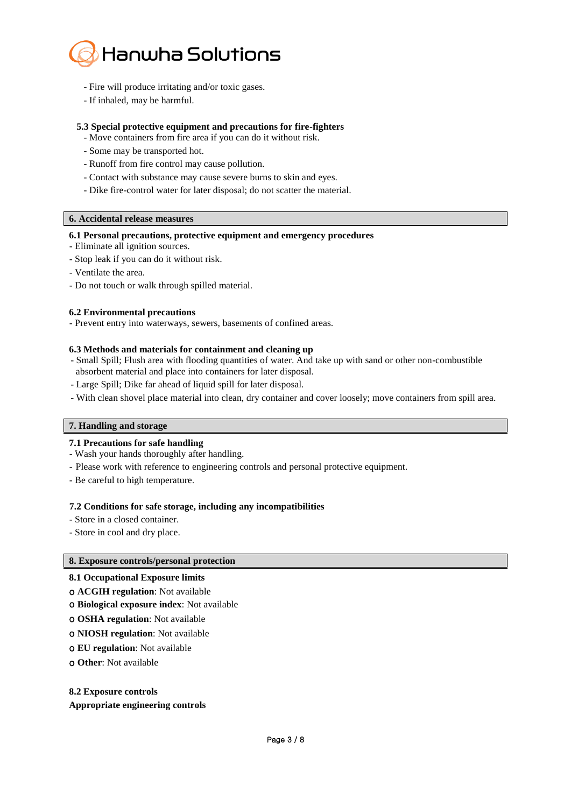

- Fire will produce irritating and/or toxic gases.
- If inhaled, may be harmful.

# **5.3 Special protective equipment and precautions for fire-fighters**

- Move containers from fire area if you can do it without risk.
- Some may be transported hot.
- Runoff from fire control may cause pollution.
- Contact with substance may cause severe burns to skin and eyes.
- Dike fire-control water for later disposal; do not scatter the material.

# **6. Accidental release measures**

# **6.1 Personal precautions, protective equipment and emergency procedures**

- Eliminate all ignition sources.
- Stop leak if you can do it without risk.
- Ventilate the area.
- Do not touch or walk through spilled material.

#### **6.2 Environmental precautions**

- Prevent entry into waterways, sewers, basements of confined areas.

#### **6.3 Methods and materials for containment and cleaning up**

- Small Spill; Flush area with flooding quantities of water. And take up with sand or other non-combustible absorbent material and place into containers for later disposal.
- Large Spill; Dike far ahead of liquid spill for later disposal.
- With clean shovel place material into clean, dry container and cover loosely; move containers from spill area.

# **7. Handling and storage**

#### **7.1 Precautions for safe handling**

- Wash your hands thoroughly after handling.
- Please work with reference to engineering controls and personal protective equipment.
- Be careful to high temperature.

#### **7.2 Conditions for safe storage, including any incompatibilities**

- Store in a closed container.
- Store in cool and dry place.

#### **8. Exposure controls/personal protection**

#### **8.1 Occupational Exposure limits**

- ο **ACGIH regulation**: Not available
- ο **Biological exposure index**: Not available
- ο **OSHA regulation**: Not available
- ο **NIOSH regulation**: Not available
- ο **EU regulation**: Not available
- ο **Other**: Not available

#### **8.2 Exposure controls**

#### **Appropriate engineering controls**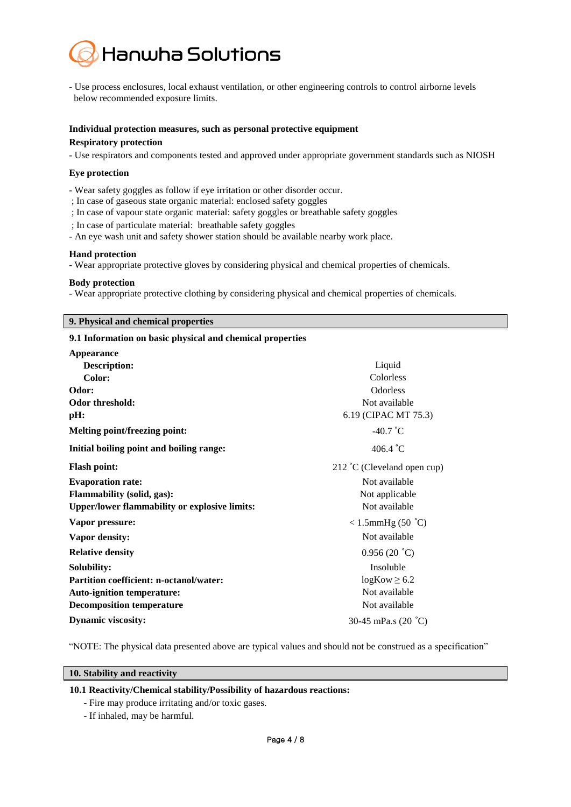

- Use process enclosures, local exhaust ventilation, or other engineering controls to control airborne levels below recommended exposure limits.

# **Individual protection measures, such as personal protective equipment Respiratory protection**

- Use respirators and components tested and approved under appropriate government standards such as NIOSH

# **Eye protection**

- Wear safety goggles as follow if eye irritation or other disorder occur.

- ; In case of gaseous state organic material: enclosed safety goggles
- ; In case of vapour state organic material: safety goggles or breathable safety goggles
- ; In case of particulate material: breathable safety goggles
- An eye wash unit and safety shower station should be available nearby work place.

# **Hand protection**

- Wear appropriate protective gloves by considering physical and chemical properties of chemicals.

# **Body protection**

- Wear appropriate protective clothing by considering physical and chemical properties of chemicals.

# **9. Physical and chemical properties**

# **9.1 Information on basic physical and chemical properties**

| <b>Appearance</b>                                    |                                      |
|------------------------------------------------------|--------------------------------------|
| <b>Description:</b>                                  | Liquid                               |
| Color:                                               | Colorless                            |
| Odor:                                                | Odorless                             |
| <b>Odor threshold:</b>                               | Not available                        |
| pH:                                                  | 6.19 (CIPAC MT 75.3)                 |
| <b>Melting point/freezing point:</b>                 | $-40.7$ °C                           |
| Initial boiling point and boiling range:             | 406.4 $^{\circ}$ C                   |
| <b>Flash point:</b>                                  | $212 \degree C$ (Cleveland open cup) |
| <b>Evaporation rate:</b>                             | Not available                        |
| <b>Flammability (solid, gas):</b>                    | Not applicable                       |
| <b>Upper/lower flammability or explosive limits:</b> | Not available                        |
| Vapor pressure:                                      | $< 1.5$ mmHg (50 °C)                 |
| Vapor density:                                       | Not available                        |
| <b>Relative density</b>                              | 0.956(20 °C)                         |
| Solubility:                                          | Insoluble                            |
| Partition coefficient: n-octanol/water:              | $logKow \ge 6.2$                     |
| <b>Auto-ignition temperature:</b>                    | Not available                        |
| <b>Decomposition temperature</b>                     | Not available                        |
| <b>Dynamic viscosity:</b>                            | 30-45 mPa.s (20 °C)                  |

"NOTE: The physical data presented above are typical values and should not be construed as a specification"

# **10. Stability and reactivity**

# **10.1 Reactivity/Chemical stability/Possibility of hazardous reactions:**

- Fire may produce irritating and/or toxic gases.
- If inhaled, may be harmful.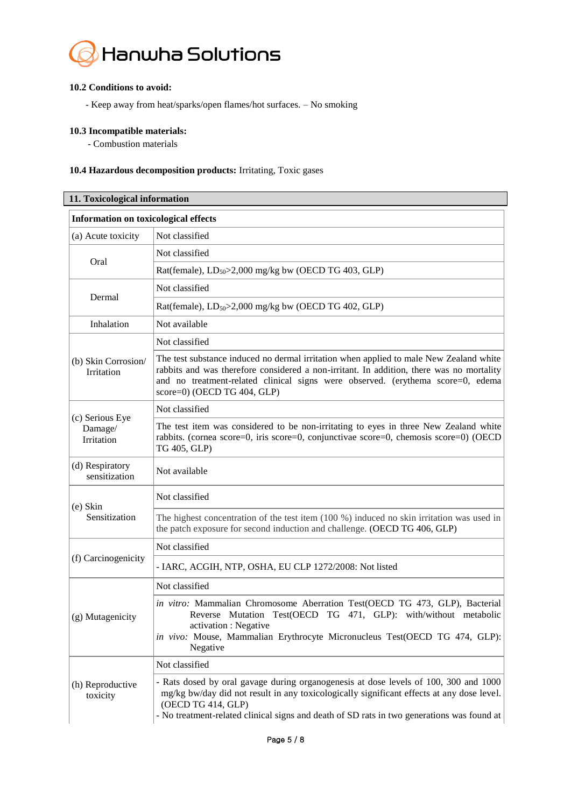

# **10.2 Conditions to avoid:**

- Keep away from heat/sparks/open flames/hot surfaces. – No smoking

# **10.3 Incompatible materials:**

┃

- Combustion materials

# **10.4 Hazardous decomposition products:** Irritating, Toxic gases

| 11. Toxicological information               |                                                                                                                                                                                                                                                                                                       |  |
|---------------------------------------------|-------------------------------------------------------------------------------------------------------------------------------------------------------------------------------------------------------------------------------------------------------------------------------------------------------|--|
| <b>Information on toxicological effects</b> |                                                                                                                                                                                                                                                                                                       |  |
| (a) Acute toxicity                          | Not classified                                                                                                                                                                                                                                                                                        |  |
| Oral                                        | Not classified                                                                                                                                                                                                                                                                                        |  |
|                                             | Rat(female), $LD_{50} > 2,000$ mg/kg bw (OECD TG 403, GLP)                                                                                                                                                                                                                                            |  |
| Dermal                                      | Not classified                                                                                                                                                                                                                                                                                        |  |
|                                             | Rat(female), $LD_{50} > 2,000$ mg/kg bw (OECD TG 402, GLP)                                                                                                                                                                                                                                            |  |
| Inhalation                                  | Not available                                                                                                                                                                                                                                                                                         |  |
|                                             | Not classified                                                                                                                                                                                                                                                                                        |  |
| (b) Skin Corrosion/<br>Irritation           | The test substance induced no dermal irritation when applied to male New Zealand white<br>rabbits and was therefore considered a non-irritant. In addition, there was no mortality<br>and no treatment-related clinical signs were observed. (erythema score=0, edema<br>score=0) (OECD TG 404, GLP)  |  |
|                                             | Not classified                                                                                                                                                                                                                                                                                        |  |
| (c) Serious Eye<br>Damage/<br>Irritation    | The test item was considered to be non-irritating to eyes in three New Zealand white<br>rabbits. (cornea score=0, iris score=0, conjunctivae score=0, chemosis score=0) (OECD<br>TG 405, GLP)                                                                                                         |  |
| (d) Respiratory<br>sensitization            | Not available                                                                                                                                                                                                                                                                                         |  |
| $(e)$ Skin<br>Sensitization                 | Not classified                                                                                                                                                                                                                                                                                        |  |
|                                             | The highest concentration of the test item (100 %) induced no skin irritation was used in<br>the patch exposure for second induction and challenge. (OECD TG 406, GLP)                                                                                                                                |  |
| (f) Carcinogenicity                         | Not classified                                                                                                                                                                                                                                                                                        |  |
|                                             | - IARC, ACGIH, NTP, OSHA, EU CLP 1272/2008: Not listed                                                                                                                                                                                                                                                |  |
| (g) Mutagenicity                            | Not classified                                                                                                                                                                                                                                                                                        |  |
|                                             | in vitro: Mammalian Chromosome Aberration Test(OECD TG 473, GLP), Bacterial<br>Reverse Mutation Test(OECD TG 471, GLP): with/without metabolic<br>activation : Negative<br>in vivo: Mouse, Mammalian Erythrocyte Micronucleus Test(OECD TG 474, GLP):<br>Negative                                     |  |
| (h) Reproductive<br>toxicity                | Not classified                                                                                                                                                                                                                                                                                        |  |
|                                             | - Rats dosed by oral gavage during organogenesis at dose levels of 100, 300 and 1000<br>mg/kg bw/day did not result in any toxicologically significant effects at any dose level.<br>(OECD TG 414, GLP)<br>- No treatment-related clinical signs and death of SD rats in two generations was found at |  |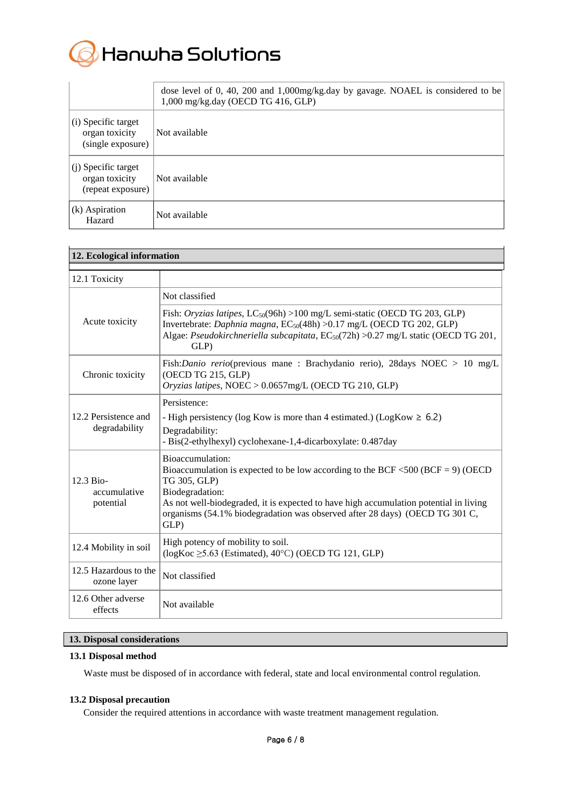

|                                                            | dose level of 0, 40, 200 and 1,000mg/kg.day by gavage. NOAEL is considered to be<br>1,000 mg/kg.day (OECD TG 416, GLP) |
|------------------------------------------------------------|------------------------------------------------------------------------------------------------------------------------|
| (i) Specific target<br>organ toxicity<br>(single exposure) | Not available                                                                                                          |
| (j) Specific target<br>organ toxicity<br>(repeat exposure) | Not available                                                                                                          |
| (k) Aspiration<br>Hazard                                   | Not available                                                                                                          |

| 12. Ecological information             |                                                                                                                                                                                                                                                                                                                        |  |
|----------------------------------------|------------------------------------------------------------------------------------------------------------------------------------------------------------------------------------------------------------------------------------------------------------------------------------------------------------------------|--|
| 12.1 Toxicity                          |                                                                                                                                                                                                                                                                                                                        |  |
|                                        | Not classified                                                                                                                                                                                                                                                                                                         |  |
| Acute toxicity                         | Fish: Oryzias latipes, LC <sub>50</sub> (96h) >100 mg/L semi-static (OECD TG 203, GLP)<br>Invertebrate: Daphnia magna, EC <sub>50</sub> (48h) > 0.17 mg/L (OECD TG 202, GLP)<br>Algae: Pseudokirchneriella subcapitata, EC <sub>50</sub> (72h) >0.27 mg/L static (OECD TG 201,<br>GLP)                                 |  |
| Chronic toxicity                       | Fish: Danio rerio(previous mane: Brachydanio rerio), 28days NOEC > 10 mg/L<br>(OECD TG 215, GLP)<br>Oryzias latipes, NOEC > 0.0657mg/L (OECD TG 210, GLP)                                                                                                                                                              |  |
|                                        | Persistence:                                                                                                                                                                                                                                                                                                           |  |
| 12.2 Persistence and<br>degradability  | - High persistency (log Kow is more than 4 estimated.) (LogKow $\geq 6.2$ )<br>Degradability:<br>- Bis(2-ethylhexyl) cyclohexane-1,4-dicarboxylate: 0.487day                                                                                                                                                           |  |
| 12.3 Bio-<br>accumulative<br>potential | Bioaccumulation:<br>Bioaccumulation is expected to be low according to the BCF <500 (BCF = 9) (OECD<br>TG 305, GLP)<br>Biodegradation:<br>As not well-biodegraded, it is expected to have high accumulation potential in living<br>organisms (54.1% biodegradation was observed after 28 days) (OECD TG 301 C,<br>GLP) |  |
| 12.4 Mobility in soil                  | High potency of mobility to soil.<br>$(\log Koc \geq 5.63$ (Estimated), 40°C) (OECD TG 121, GLP)                                                                                                                                                                                                                       |  |
| 12.5 Hazardous to the<br>ozone layer   | Not classified                                                                                                                                                                                                                                                                                                         |  |
| 12.6 Other adverse<br>effects          | Not available                                                                                                                                                                                                                                                                                                          |  |

# **13. Disposal considerations**

#### **13.1 Disposal method**

Waste must be disposed of in accordance with federal, state and local environmental control regulation.

# **13.2 Disposal precaution**

Consider the required attentions in accordance with waste treatment management regulation.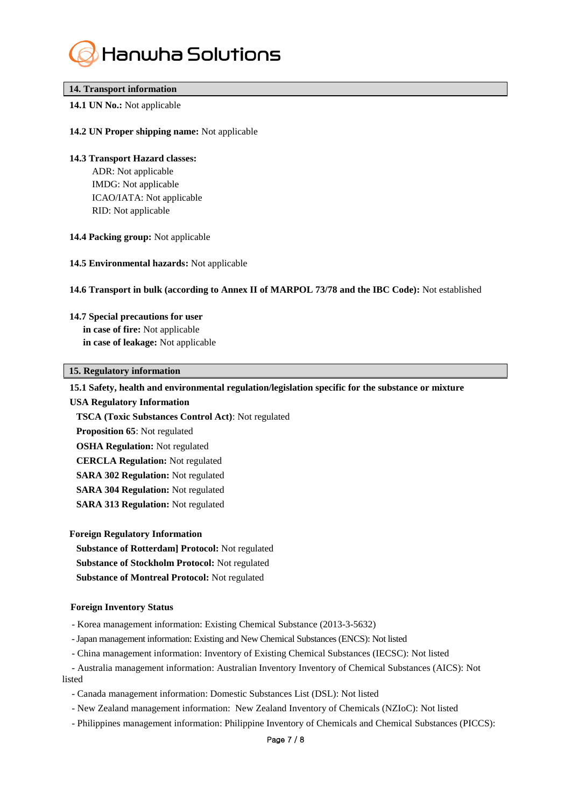

# **14. Transport information**

# **14.1 UN No.:** Not applicable

# **14.2 UN Proper shipping name:** Not applicable

# **14.3 Transport Hazard classes:**

ADR: Not applicable IMDG: Not applicable ICAO/IATA: Not applicable RID: Not applicable

# **14.4 Packing group:** Not applicable

**14.5 Environmental hazards:** Not applicable

#### **14.6 Transport in bulk (according to Annex II of MARPOL 73/78 and the IBC Code):** Not established

#### **14.7 Special precautions for user**

**in case of fire:** Not applicable **in case of leakage:** Not applicable

# **15. Regulatory information**

# **15.1 Safety, health and environmental regulation/legislation specific for the substance or mixture**

**USA Regulatory Information**

**TSCA (Toxic Substances Control Act)**: Not regulated

- **Proposition 65**: Not regulated
- **OSHA Regulation:** Not regulated
- **CERCLA Regulation:** Not regulated
- **SARA 302 Regulation:** Not regulated
- **SARA 304 Regulation:** Not regulated
- **SARA 313 Regulation:** Not regulated

#### **Foreign Regulatory Information**

**Substance of Rotterdam] Protocol:** Not regulated

- **Substance of Stockholm Protocol:** Not regulated
- **Substance of Montreal Protocol:** Not regulated

#### **Foreign Inventory Status**

- Korea management information: Existing Chemical Substance (2013-3-5632)
- -Japan management information: Existing and New Chemical Substances (ENCS): Not listed
- China management information: Inventory of Existing Chemical Substances (IECSC): Not listed
- Australia management information: Australian Inventory Inventory of Chemical Substances (AICS): Not listed
	- Canada management information: Domestic Substances List (DSL): Not listed
	- New Zealand management information: New Zealand Inventory of Chemicals (NZIoC): Not listed
	- Philippines management information: Philippine Inventory of Chemicals and Chemical Substances (PICCS):